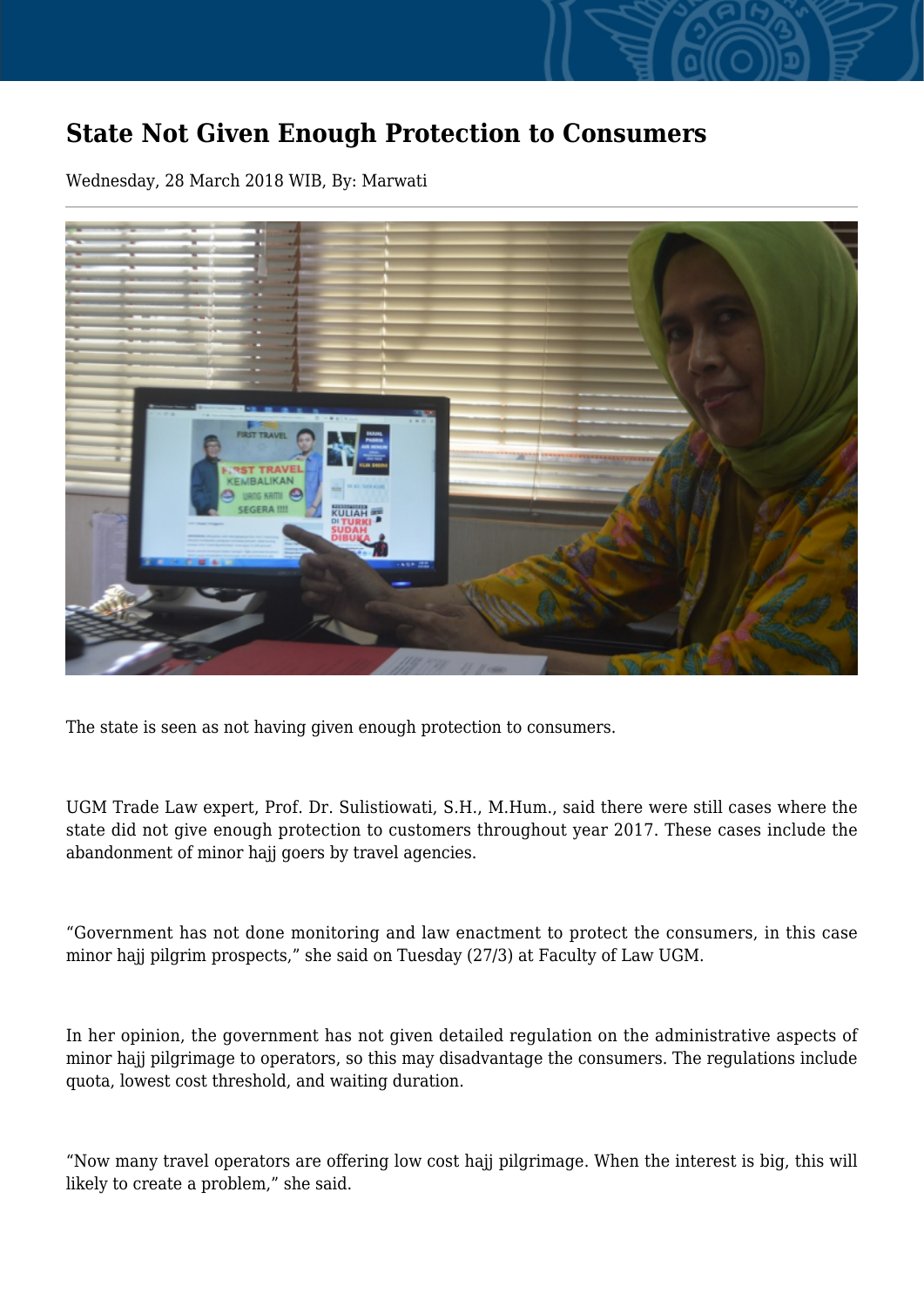## **State Not Given Enough Protection to Consumers**

Wednesday, 28 March 2018 WIB, By: Marwati



The state is seen as not having given enough protection to consumers.

UGM Trade Law expert, Prof. Dr. Sulistiowati, S.H., M.Hum., said there were still cases where the state did not give enough protection to customers throughout year 2017. These cases include the abandonment of minor hajj goers by travel agencies.

"Government has not done monitoring and law enactment to protect the consumers, in this case minor hajj pilgrim prospects," she said on Tuesday (27/3) at Faculty of Law UGM.

In her opinion, the government has not given detailed regulation on the administrative aspects of minor hajj pilgrimage to operators, so this may disadvantage the consumers. The regulations include quota, lowest cost threshold, and waiting duration.

"Now many travel operators are offering low cost hajj pilgrimage. When the interest is big, this will likely to create a problem," she said.